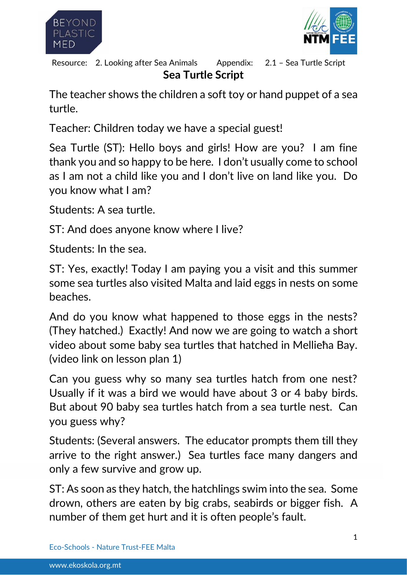



**Sea Turtle Script** Resource: 2. Looking after Sea Animals Appendix: 2.1 - Sea Turtle Script

The teacher shows the children a soft toy or hand puppet of a sea turtle.

Teacher: Children today we have a special guest!

Sea Turtle (ST): Hello boys and girls! How are you? I am fine thank you and so happy to be here. I don't usually come to school as I am not a child like you and I don't live on land like you. Do you know what I am?

Students: A sea turtle.

ST: And does anyone know where I live?

Students: In the sea.

ST: Yes, exactly! Today I am paying you a visit and this summer some sea turtles also visited Malta and laid eggs in nests on some beaches.

And do you know what happened to those eggs in the nests? (They hatched.) Exactly! And now we are going to watch a short video about some baby sea turtles that hatched in Mellieħa Bay. (video link on lesson plan 1)

Can you guess why so many sea turtles hatch from one nest? Usually if it was a bird we would have about 3 or 4 baby birds. But about 90 baby sea turtles hatch from a sea turtle nest. Can you guess why?

Students: (Several answers. The educator prompts them till they arrive to the right answer.) Sea turtles face many dangers and only a few survive and grow up.

ST: As soon as they hatch, the hatchlings swim into the sea. Some drown, others are eaten by big crabs, seabirds or bigger fish. A number of them get hurt and it is often people's fault.